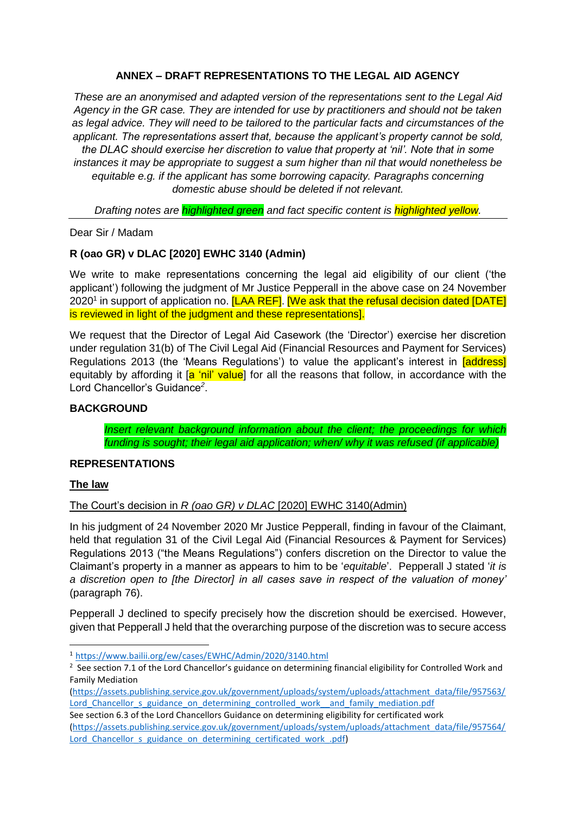# **ANNEX – DRAFT REPRESENTATIONS TO THE LEGAL AID AGENCY**

*These are an anonymised and adapted version of the representations sent to the Legal Aid Agency in the GR case. They are intended for use by practitioners and should not be taken as legal advice. They will need to be tailored to the particular facts and circumstances of the applicant. The representations assert that, because the applicant's property cannot be sold, the DLAC should exercise her discretion to value that property at 'nil'. Note that in some instances it may be appropriate to suggest a sum higher than nil that would nonetheless be equitable e.g. if the applicant has some borrowing capacity. Paragraphs concerning domestic abuse should be deleted if not relevant.* 

*Drafting notes are highlighted green and fact specific content is highlighted yellow.*

Dear Sir / Madam

# **R (oao GR) v DLAC [2020] EWHC 3140 (Admin)**

We write to make representations concerning the legal aid eligibility of our client ('the applicant') following the judgment of Mr Justice Pepperall in the above case on 24 November 2020<sup>1</sup> in support of application no. [LAA REF]. [We ask that the refusal decision dated [DATE] is reviewed in light of the judgment and these representations].

We request that the Director of Legal Aid Casework (the 'Director') exercise her discretion under regulation 31(b) of The Civil Legal Aid (Financial Resources and Payment for Services) Regulations 2013 (the 'Means Regulations') to value the applicant's interest in **[address]** equitably by affording it [a 'nil' value] for all the reasons that follow, in accordance with the Lord Chancellor's Guidance*<sup>2</sup>* .

# **BACKGROUND**

*Insert relevant background information about the client; the proceedings for which funding is sought; their legal aid application; when/ why it was refused (if applicable)*

# **REPRESENTATIONS**

# **The law**

1

# The Court's decision in *R (oao GR) v DLAC* [2020] EWHC 3140(Admin)

In his judgment of 24 November 2020 Mr Justice Pepperall, finding in favour of the Claimant, held that regulation 31 of the Civil Legal Aid (Financial Resources & Payment for Services) Regulations 2013 ("the Means Regulations") confers discretion on the Director to value the Claimant's property in a manner as appears to him to be '*equitable*'. Pepperall J stated '*it is a discretion open to [the Director] in all cases save in respect of the valuation of money'* (paragraph 76).

Pepperall J declined to specify precisely how the discretion should be exercised. However, given that Pepperall J held that the overarching purpose of the discretion was to secure access

See section 6.3 of the Lord Chancellors Guidance on determining eligibility for certificated work [\(https://assets.publishing.service.gov.uk/government/uploads/system/uploads/attachment\\_data/file/957564/](https://assets.publishing.service.gov.uk/government/uploads/system/uploads/attachment_data/file/957564/Lord_Chancellor_s_guidance_on_determining_certificated_work_.pdf) Lord Chancellor s guidance on determining certificated work .pdf)

<sup>1</sup> <https://www.bailii.org/ew/cases/EWHC/Admin/2020/3140.html>

 $2$  See section 7.1 of the Lord Chancellor's guidance on determining financial eligibility for Controlled Work and Family Mediation

[<sup>\(</sup>https://assets.publishing.service.gov.uk/government/uploads/system/uploads/attachment\\_data/file/957563/](https://assets.publishing.service.gov.uk/government/uploads/system/uploads/attachment_data/file/957563/Lord_Chancellor_s_guidance_on_determining_controlled_work__and_family_mediation.pdf) Lord Chancellor s guidance on determining controlled work and family mediation.pdf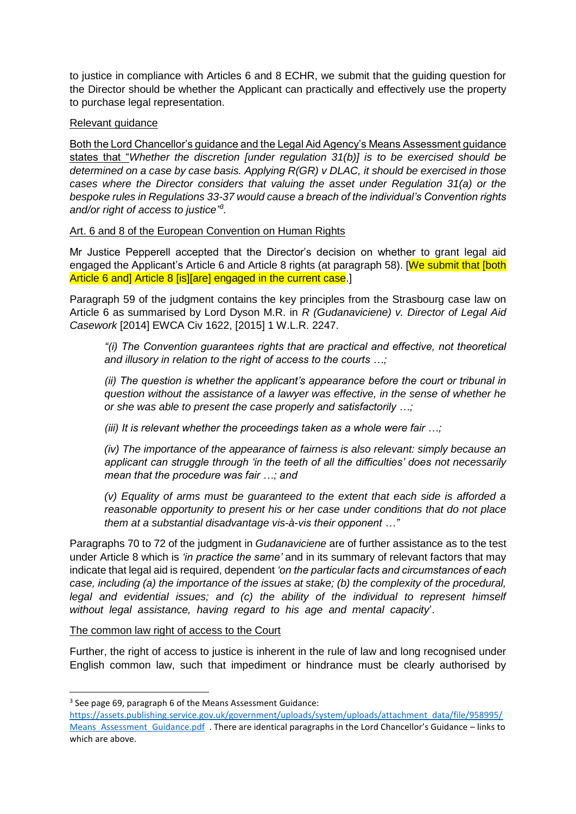to justice in compliance with Articles 6 and 8 ECHR, we submit that the guiding question for the Director should be whether the Applicant can practically and effectively use the property to purchase legal representation.

# Relevant guidance

Both the Lord Chancellor's guidance and the Legal Aid Agency's Means Assessment guidance states that "*Whether the discretion [under regulation 31(b)] is to be exercised should be determined on a case by case basis. Applying R(GR) v DLAC, it should be exercised in those cases where the Director considers that valuing the asset under Regulation 31(a) or the bespoke rules in Regulations 33-37 would cause a breach of the individual's Convention rights and/or right of access to justice" 3 .* 

# Art. 6 and 8 of the European Convention on Human Rights

Mr Justice Pepperell accepted that the Director's decision on whether to grant legal aid engaged the Applicant's Article 6 and Article 8 rights (at paragraph 58). [We submit that [both] Article 6 and] Article 8 [is][are] engaged in the current case.]

Paragraph 59 of the judgment contains the key principles from the Strasbourg case law on Article 6 as summarised by Lord Dyson M.R. in *R (Gudanaviciene) v. Director of Legal Aid Casework* [2014] EWCA Civ 1622, [2015] 1 W.L.R. 2247.

*"(i) The Convention guarantees rights that are practical and effective, not theoretical and illusory in relation to the right of access to the courts …;* 

*(ii) The question is whether the applicant's appearance before the court or tribunal in question without the assistance of a lawyer was effective, in the sense of whether he or she was able to present the case properly and satisfactorily …;* 

*(iii) It is relevant whether the proceedings taken as a whole were fair …;* 

*(iv) The importance of the appearance of fairness is also relevant: simply because an applicant can struggle through 'in the teeth of all the difficulties' does not necessarily mean that the procedure was fair …; and* 

*(v) Equality of arms must be guaranteed to the extent that each side is afforded a reasonable opportunity to present his or her case under conditions that do not place them at a substantial disadvantage vis-à-vis their opponent …"*

Paragraphs 70 to 72 of the judgment in *Gudanaviciene* are of further assistance as to the test under Article 8 which is *'in practice the same'* and in its summary of relevant factors that may indicate that legal aid is required, dependent *'on the particular facts and circumstances of each case, including (a) the importance of the issues at stake; (b) the complexity of the procedural,*  legal and evidential issues; and (c) the ability of the individual to represent himself *without legal assistance, having regard to his age and mental capacity*'.

The common law right of access to the Court

1

Further, the right of access to justice is inherent in the rule of law and long recognised under English common law, such that impediment or hindrance must be clearly authorised by

<sup>&</sup>lt;sup>3</sup> See page 69, paragraph 6 of the Means Assessment Guidance:

[https://assets.publishing.service.gov.uk/government/uploads/system/uploads/attachment\\_data/file/958995/](https://assets.publishing.service.gov.uk/government/uploads/system/uploads/attachment_data/file/958995/Means_Assessment_Guidance.pdf) Means Assessment Guidance.pdf . There are identical paragraphs in the Lord Chancellor's Guidance – links to which are above.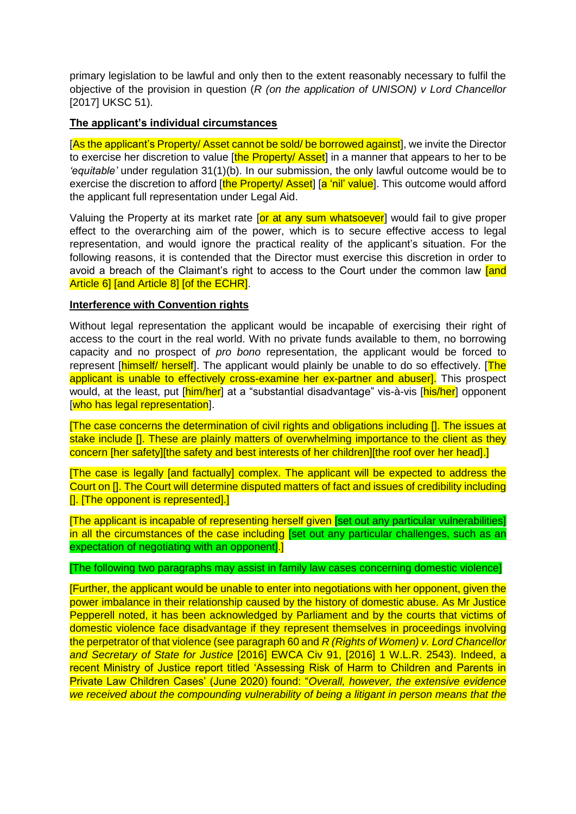primary legislation to be lawful and only then to the extent reasonably necessary to fulfil the objective of the provision in question (*R (on the application of UNISON) v Lord Chancellor* [2017] UKSC 51).

# **The applicant's individual circumstances**

[As the applicant's Property/ Asset cannot be sold/ be borrowed against], we invite the Director to exercise her discretion to value [the Property/ Asset] in a manner that appears to her to be *'equitable'* under regulation 31(1)(b). In our submission, the only lawful outcome would be to exercise the discretion to afford [the Property/ Asset] [a 'nil' value]. This outcome would afford the applicant full representation under Legal Aid.

Valuing the Property at its market rate for at any sum whatsoever would fail to give proper effect to the overarching aim of the power, which is to secure effective access to legal representation, and would ignore the practical reality of the applicant's situation. For the following reasons, it is contended that the Director must exercise this discretion in order to avoid a breach of the Claimant's right to access to the Court under the common law land Article 6] [and Article 8] [of the ECHR].

# **Interference with Convention rights**

Without legal representation the applicant would be incapable of exercising their right of access to the court in the real world. With no private funds available to them, no borrowing capacity and no prospect of *pro bono* representation, the applicant would be forced to represent [himself/ herself]. The applicant would plainly be unable to do so effectively. [The applicant is unable to effectively cross-examine her ex-partner and abuser]. This prospect would, at the least, put [him/her] at a "substantial disadvantage" vis-à-vis [his/her] opponent [who has legal representation].

[The case concerns the determination of civil rights and obligations including []. The issues at stake include []. These are plainly matters of overwhelming importance to the client as they concern [her safety][the safety and best interests of her children][the roof over her head].]

[The case is legally [and factually] complex. The applicant will be expected to address the Court on []. The Court will determine disputed matters of fact and issues of credibility including []. [The opponent is represented].]

[The applicant is incapable of representing herself given [set out any particular vulnerabilities] in all the circumstances of the case including [set out any particular challenges, such as an expectation of negotiating with an opponent].

[The following two paragraphs may assist in family law cases concerning domestic violence]

[Further, the applicant would be unable to enter into negotiations with her opponent, given the power imbalance in their relationship caused by the history of domestic abuse. As Mr Justice Pepperell noted, it has been acknowledged by Parliament and by the courts that victims of domestic violence face disadvantage if they represent themselves in proceedings involving the perpetrator of that violence (see paragraph 60 and *R (Rights of Women) v. Lord Chancellor and Secretary of State for Justice* [2016] EWCA Civ 91, [2016] 1 W.L.R. 2543). Indeed, a recent Ministry of Justice report titled 'Assessing Risk of Harm to Children and Parents in Private Law Children Cases' (June 2020) found: "*Overall, however, the extensive evidence we received about the compounding vulnerability of being a litigant in person means that the*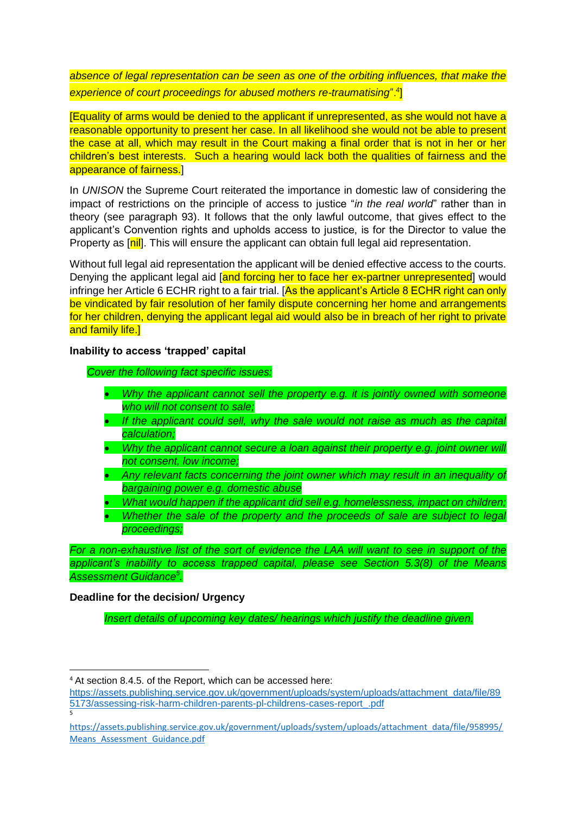*absence of legal representation can be seen as one of the orbiting influences, that make the experience of court proceedings for abused mothers re-traumatising*".<sup>4</sup> ]

[Equality of arms would be denied to the applicant if unrepresented, as she would not have a reasonable opportunity to present her case. In all likelihood she would not be able to present the case at all, which may result in the Court making a final order that is not in her or her children's best interests. Such a hearing would lack both the qualities of fairness and the appearance of fairness.]

In *UNISON* the Supreme Court reiterated the importance in domestic law of considering the impact of restrictions on the principle of access to justice "*in the real world*" rather than in theory (see paragraph 93). It follows that the only lawful outcome, that gives effect to the applicant's Convention rights and upholds access to justice, is for the Director to value the Property as [nil]. This will ensure the applicant can obtain full legal aid representation.

Without full legal aid representation the applicant will be denied effective access to the courts. Denying the applicant legal aid [and forcing her to face her ex-partner unrepresented] would infringe her Article 6 ECHR right to a fair trial. [As the applicant's Article 8 ECHR right can only be vindicated by fair resolution of her family dispute concerning her home and arrangements for her children, denying the applicant legal aid would also be in breach of her right to private and family life.

#### **Inability to access 'trapped' capital**

*Cover the following fact specific issues:* 

- *Why the applicant cannot sell the property e.g. it is jointly owned with someone who will not consent to sale;*
- *If the applicant could sell, why the sale would not raise as much as the capital calculation;*
- Why the applicant cannot secure a loan against their property e.g. joint owner will *not consent, low income;*
- *Any relevant facts concerning the joint owner which may result in an inequality of bargaining power e.g. domestic abuse*
- *What would happen if the applicant did sell e.g. homelessness, impact on children;*
- *Whether the sale of the property and the proceeds of sale are subject to legal proceedings;*

*For a non-exhaustive list of the sort of evidence the LAA will want to see in support of the applicant's inability to access trapped capital, please see Section 5.3(8) of the Means Assessment Guidance<sup>5</sup> .*

# **Deadline for the decision/ Urgency**

**.** 

5

*Insert details of upcoming key dates/ hearings which justify the deadline given.*

<sup>&</sup>lt;sup>4</sup> At section 8.4.5. of the Report, which can be accessed here:

[https://assets.publishing.service.gov.uk/government/uploads/system/uploads/attachment\\_data/file/89](https://assets.publishing.service.gov.uk/government/uploads/system/uploads/attachment_data/file/895173/assessing-risk-harm-children-parents-pl-childrens-cases-report_.pdf) [5173/assessing-risk-harm-children-parents-pl-childrens-cases-report\\_.pdf](https://assets.publishing.service.gov.uk/government/uploads/system/uploads/attachment_data/file/895173/assessing-risk-harm-children-parents-pl-childrens-cases-report_.pdf)

[https://assets.publishing.service.gov.uk/government/uploads/system/uploads/attachment\\_data/file/958995/](https://assets.publishing.service.gov.uk/government/uploads/system/uploads/attachment_data/file/958995/Means_Assessment_Guidance.pdf) Means Assessment Guidance.pdf